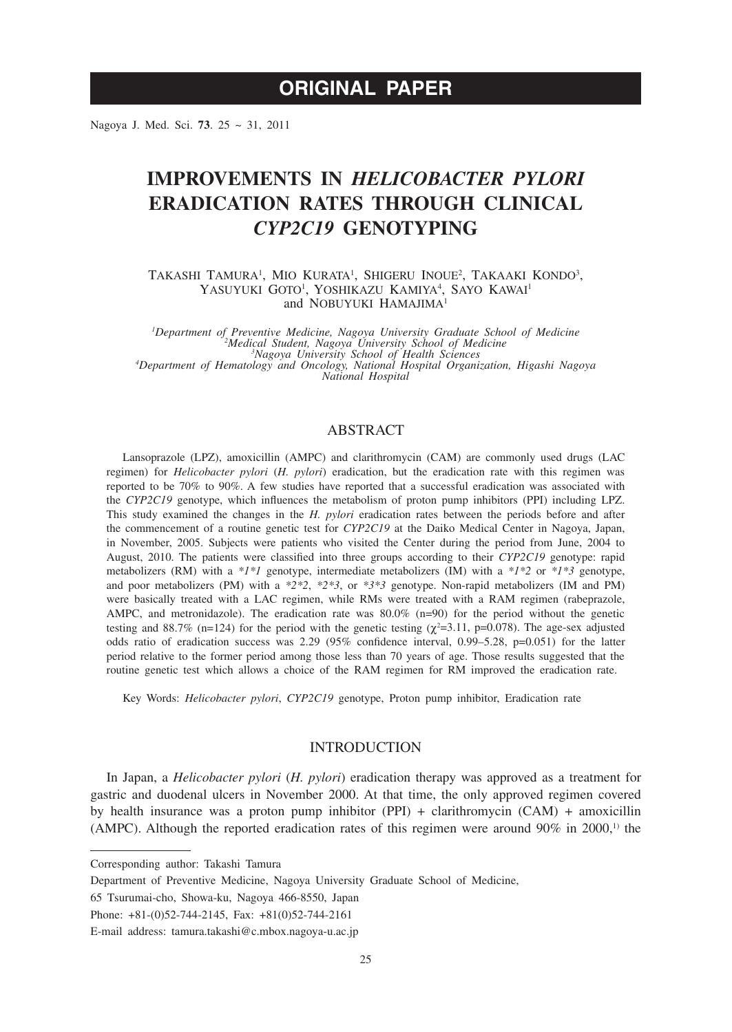# **ORIGINAL PAPER**

Nagoya J. Med. Sci. **73**. 25 ~ 31, 2011

# **IMPROVEMENTS IN** *HELICOBACTER PYLORI* **ERADICATION RATES THROUGH CLINICAL**  *CYP2C19* **GENOTYPING**

TAKASHI TAMURA<sup>1</sup>, MIO KURATA<sup>1</sup>, SHIGERU INOUE<sup>2</sup>, TAKAAKI KONDO<sup>3</sup>, YASUYUKI GOTO<sup>1</sup>, YOSHIKAZU KAMIYA<sup>4</sup>, SAYO KAWAI<sup>1</sup> and NOBUYUKI HAMAJIMA<sup>1</sup>

*1 Department of Preventive Medicine, Nagoya University Graduate School of Medicine <sup>2</sup> Medical Student, Nagoya University School of Medicine*<br><sup>3</sup>*Medical Student, Nagoya University School of Medicine Nagoya University School of Health Sciences <sup>4</sup> Department of Hematology and Oncology, National Hospital Organization, Higashi Nagoya National Hospital*

## ABSTRACT

Lansoprazole (LPZ), amoxicillin (AMPC) and clarithromycin (CAM) are commonly used drugs (LAC regimen) for *Helicobacter pylori* (*H. pylori*) eradication, but the eradication rate with this regimen was reported to be 70% to 90%. A few studies have reported that a successful eradication was associated with the *CYP2C19* genotype, which influences the metabolism of proton pump inhibitors (PPI) including LPZ. This study examined the changes in the *H. pylori* eradication rates between the periods before and after the commencement of a routine genetic test for *CYP2C19* at the Daiko Medical Center in Nagoya, Japan, in November, 2005. Subjects were patients who visited the Center during the period from June, 2004 to August, 2010. The patients were classified into three groups according to their *CYP2C19* genotype: rapid metabolizers (RM) with a *\*1\*1* genotype, intermediate metabolizers (IM) with a *\*1\*2* or *\*1\*3* genotype, and poor metabolizers (PM) with a *\*2\*2*, *\*2\*3*, or *\*3\*3* genotype. Non-rapid metabolizers (IM and PM) were basically treated with a LAC regimen, while RMs were treated with a RAM regimen (rabeprazole, AMPC, and metronidazole). The eradication rate was 80.0% (n=90) for the period without the genetic testing and 88.7% (n=124) for the period with the genetic testing ( $\chi^2$ =3.11, p=0.078). The age-sex adjusted odds ratio of eradication success was 2.29 (95% confidence interval, 0.99–5.28, p=0.051) for the latter period relative to the former period among those less than 70 years of age. Those results suggested that the routine genetic test which allows a choice of the RAM regimen for RM improved the eradication rate.

Key Words: *Helicobacter pylori*, *CYP2C19* genotype, Proton pump inhibitor, Eradication rate

## INTRODUCTION

In Japan, a *Helicobacter pylori* (*H. pylori*) eradication therapy was approved as a treatment for gastric and duodenal ulcers in November 2000. At that time, the only approved regimen covered by health insurance was a proton pump inhibitor (PPI) + clarithromycin (CAM) + amoxicillin (AMPC). Although the reported eradication rates of this regimen were around  $90\%$  in  $2000$ ,<sup>1)</sup> the

Corresponding author: Takashi Tamura

Department of Preventive Medicine, Nagoya University Graduate School of Medicine,

<sup>65</sup> Tsurumai-cho, Showa-ku, Nagoya 466-8550, Japan

Phone: +81-(0)52-744-2145, Fax: +81(0)52-744-2161

E-mail address: tamura.takashi@c.mbox.nagoya-u.ac.jp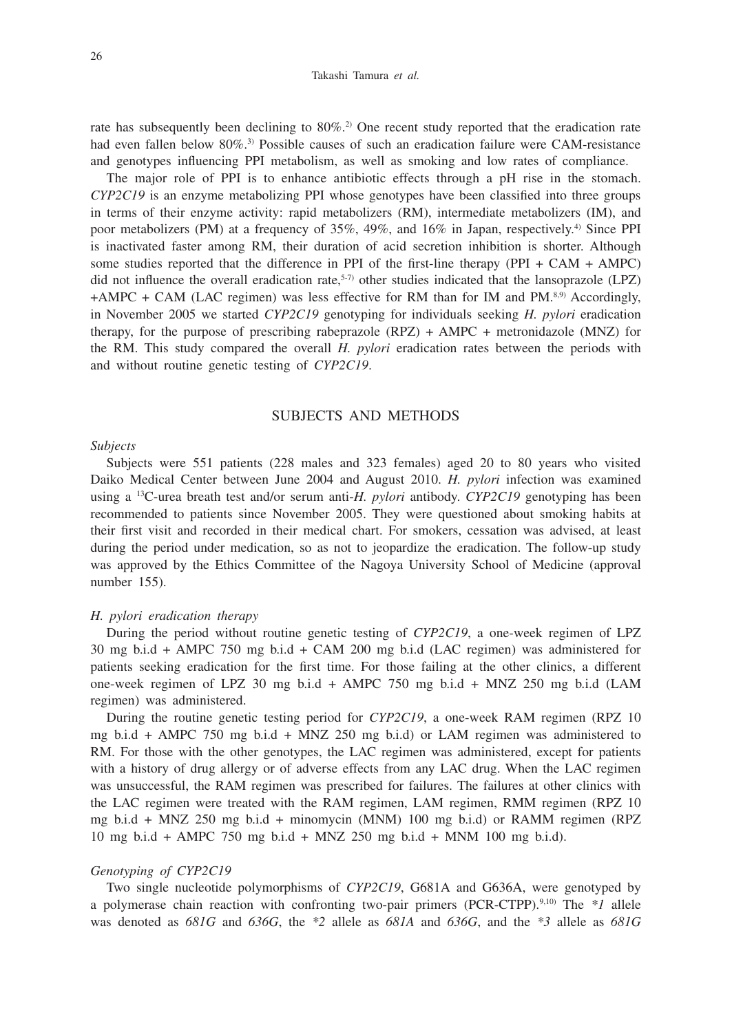#### Takashi Tamura *et al.*

rate has subsequently been declining to  $80\%$ <sup>2</sup>. One recent study reported that the eradication rate had even fallen below 80%.<sup>3)</sup> Possible causes of such an eradication failure were CAM-resistance and genotypes influencing PPI metabolism, as well as smoking and low rates of compliance.

The major role of PPI is to enhance antibiotic effects through a pH rise in the stomach. *CYP2C19* is an enzyme metabolizing PPI whose genotypes have been classified into three groups in terms of their enzyme activity: rapid metabolizers (RM), intermediate metabolizers (IM), and poor metabolizers (PM) at a frequency of 35%, 49%, and 16% in Japan, respectively.4) Since PPI is inactivated faster among RM, their duration of acid secretion inhibition is shorter. Although some studies reported that the difference in PPI of the first-line therapy (PPI + CAM + AMPC) did not influence the overall eradication rate, $5-7$ ) other studies indicated that the lansoprazole (LPZ)  $+AMPC + CAM$  (LAC regimen) was less effective for RM than for IM and PM.<sup>8,9)</sup> Accordingly, in November 2005 we started *CYP2C19* genotyping for individuals seeking *H. pylori* eradication therapy, for the purpose of prescribing rabeprazole (RPZ) + AMPC + metronidazole (MNZ) for the RM. This study compared the overall *H. pylori* eradication rates between the periods with and without routine genetic testing of *CYP2C19*.

## SUBJECTS AND METHODS

#### *Subjects*

Subjects were 551 patients (228 males and 323 females) aged 20 to 80 years who visited Daiko Medical Center between June 2004 and August 2010. *H. pylori* infection was examined using a 13C-urea breath test and/or serum anti-*H. pylori* antibody. *CYP2C19* genotyping has been recommended to patients since November 2005. They were questioned about smoking habits at their first visit and recorded in their medical chart. For smokers, cessation was advised, at least during the period under medication, so as not to jeopardize the eradication. The follow-up study was approved by the Ethics Committee of the Nagoya University School of Medicine (approval number 155).

#### *H. pylori eradication therapy*

During the period without routine genetic testing of *CYP2C19*, a one-week regimen of LPZ 30 mg b.i.d + AMPC 750 mg b.i.d + CAM 200 mg b.i.d (LAC regimen) was administered for patients seeking eradication for the first time. For those failing at the other clinics, a different one-week regimen of LPZ 30 mg b.i.d + AMPC 750 mg b.i.d + MNZ 250 mg b.i.d (LAM regimen) was administered.

During the routine genetic testing period for *CYP2C19*, a one-week RAM regimen (RPZ 10 mg b.i.d + AMPC 750 mg b.i.d + MNZ 250 mg b.i.d) or LAM regimen was administered to RM. For those with the other genotypes, the LAC regimen was administered, except for patients with a history of drug allergy or of adverse effects from any LAC drug. When the LAC regimen was unsuccessful, the RAM regimen was prescribed for failures. The failures at other clinics with the LAC regimen were treated with the RAM regimen, LAM regimen, RMM regimen (RPZ 10 mg b.i.d + MNZ 250 mg b.i.d + minomycin (MNM) 100 mg b.i.d) or RAMM regimen (RPZ 10 mg b.i.d + AMPC 750 mg b.i.d + MNZ 250 mg b.i.d + MNM 100 mg b.i.d).

### *Genotyping of CYP2C19*

Two single nucleotide polymorphisms of *CYP2C19*, G681A and G636A, were genotyped by a polymerase chain reaction with confronting two-pair primers (PCR-CTPP).9,10) The *\*1* allele was denoted as *681G* and *636G*, the *\*2* allele as *681A* and *636G*, and the *\*3* allele as *681G*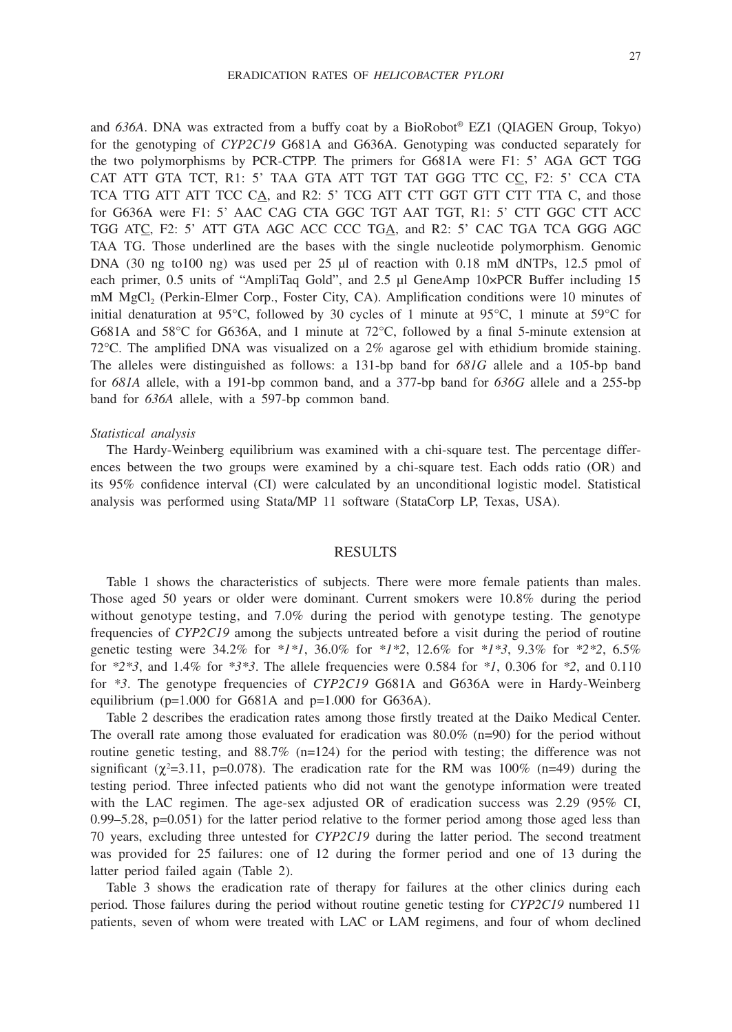and *636A*. DNA was extracted from a buffy coat by a BioRobot® EZ1 (QIAGEN Group, Tokyo) for the genotyping of *CYP2C19* G681A and G636A. Genotyping was conducted separately for the two polymorphisms by PCR-CTPP. The primers for G681A were F1: 5' AGA GCT TGG CAT ATT GTA TCT, R1: 5' TAA GTA ATT TGT TAT GGG TTC CC, F2: 5' CCA CTA TCA TTG ATT ATT TCC CA, and R2: 5' TCG ATT CTT GGT GTT CTT TTA C, and those for G636A were F1: 5' AAC CAG CTA GGC TGT AAT TGT, R1: 5' CTT GGC CTT ACC TGG ATC, F2: 5' ATT GTA AGC ACC CCC TGA, and R2: 5' CAC TGA TCA GGG AGC TAA TG. Those underlined are the bases with the single nucleotide polymorphism. Genomic DNA (30 ng to100 ng) was used per 25 μl of reaction with 0.18 mM dNTPs, 12.5 pmol of each primer, 0.5 units of "AmpliTaq Gold", and 2.5 μl GeneAmp 10×PCR Buffer including 15 mM MgCl<sub>2</sub> (Perkin-Elmer Corp., Foster City, CA). Amplification conditions were 10 minutes of initial denaturation at 95°C, followed by 30 cycles of 1 minute at 95°C, 1 minute at 59°C for G681A and 58°C for G636A, and 1 minute at 72°C, followed by a final 5-minute extension at 72°C. The amplified DNA was visualized on a 2% agarose gel with ethidium bromide staining. The alleles were distinguished as follows: a 131-bp band for *681G* allele and a 105-bp band for *681A* allele, with a 191-bp common band, and a 377-bp band for *636G* allele and a 255-bp band for *636A* allele, with a 597-bp common band.

#### *Statistical analysis*

The Hardy-Weinberg equilibrium was examined with a chi-square test. The percentage differences between the two groups were examined by a chi-square test. Each odds ratio (OR) and its 95% confidence interval (CI) were calculated by an unconditional logistic model. Statistical analysis was performed using Stata/MP 11 software (StataCorp LP, Texas, USA).

#### RESULTS

Table 1 shows the characteristics of subjects. There were more female patients than males. Those aged 50 years or older were dominant. Current smokers were 10.8% during the period without genotype testing, and 7.0% during the period with genotype testing. The genotype frequencies of *CYP2C19* among the subjects untreated before a visit during the period of routine genetic testing were 34.2% for *\*1\*1*, 36.0% for *\*1\*2*, 12.6% for *\*1\*3*, 9.3% for *\*2\*2*, 6.5% for *\*2\*3*, and 1.4% for *\*3\*3*. The allele frequencies were 0.584 for *\*1*, 0.306 for *\*2*, and 0.110 for *\*3*. The genotype frequencies of *CYP2C19* G681A and G636A were in Hardy-Weinberg equilibrium ( $p=1.000$  for G681A and  $p=1.000$  for G636A).

Table 2 describes the eradication rates among those firstly treated at the Daiko Medical Center. The overall rate among those evaluated for eradication was  $80.0\%$  (n=90) for the period without routine genetic testing, and  $88.7\%$  (n=124) for the period with testing; the difference was not significant ( $\chi^2$ =3.11, p=0.078). The eradication rate for the RM was 100% (n=49) during the testing period. Three infected patients who did not want the genotype information were treated with the LAC regimen. The age-sex adjusted OR of eradication success was 2.29 (95% CI, 0.99–5.28, p=0.051) for the latter period relative to the former period among those aged less than 70 years, excluding three untested for *CYP2C19* during the latter period. The second treatment was provided for 25 failures: one of 12 during the former period and one of 13 during the latter period failed again (Table 2).

Table 3 shows the eradication rate of therapy for failures at the other clinics during each period. Those failures during the period without routine genetic testing for *CYP2C19* numbered 11 patients, seven of whom were treated with LAC or LAM regimens, and four of whom declined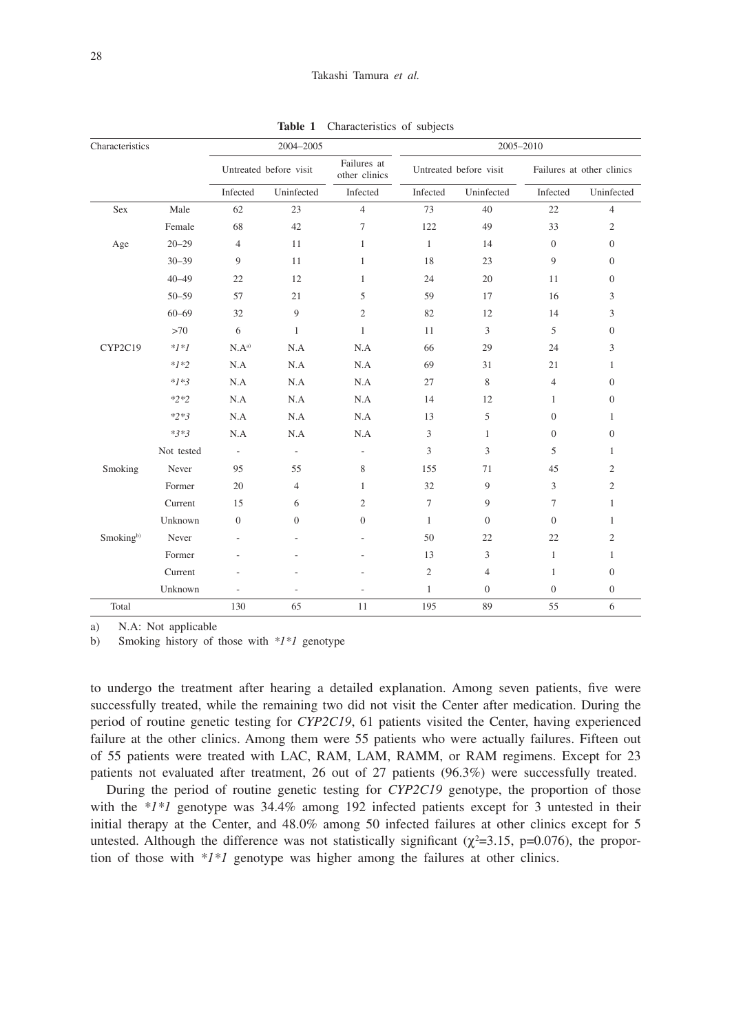| Characteristics       |            | 2004-2005                |                          |                              | 2005-2010              |                  |                           |                  |
|-----------------------|------------|--------------------------|--------------------------|------------------------------|------------------------|------------------|---------------------------|------------------|
|                       |            | Untreated before visit   |                          | Failures at<br>other clinics | Untreated before visit |                  | Failures at other clinics |                  |
|                       |            | Infected                 | Uninfected               | Infected                     | Infected               | Uninfected       | Infected                  | Uninfected       |
| Sex                   | Male       | 62                       | 23                       | $\overline{4}$               | 73                     | 40               | 22                        | $\overline{4}$   |
|                       | Female     | 68                       | 42                       | 7                            | 122                    | 49               | 33                        | $\sqrt{2}$       |
| Age                   | $20 - 29$  | $\overline{4}$           | 11                       | $\mathbf{1}$                 | $\mathbf{1}$           | 14               | $\boldsymbol{0}$          | $\boldsymbol{0}$ |
|                       | $30 - 39$  | 9                        | 11                       | 1                            | 18                     | 23               | 9                         | $\mathbf{0}$     |
|                       | $40 - 49$  | 22                       | 12                       | $\mathbf{1}$                 | 24                     | 20               | 11                        | $\mathbf{0}$     |
|                       | $50 - 59$  | 57                       | 21                       | 5                            | 59                     | 17               | 16                        | 3                |
|                       | $60 - 69$  | 32                       | 9                        | $\mathfrak{2}$               | 82                     | 12               | 14                        | 3                |
|                       | >70        | 6                        | $\mathbf{1}$             | $\mathbf{1}$                 | 11                     | 3                | 5                         | $\boldsymbol{0}$ |
| CYP2C19               | $*1*1$     | N.A <sup>a</sup>         | N.A                      | N.A                          | 66                     | 29               | 24                        | 3                |
|                       | $*1*2$     | N.A                      | N.A                      | N.A                          | 69                     | 31               | 21                        | $\mathbf{1}$     |
|                       | $*1*3$     | N.A                      | N.A                      | N.A                          | 27                     | 8                | $\overline{4}$            | $\mathbf{0}$     |
|                       | $*2*2$     | N.A                      | N.A                      | N.A                          | 14                     | 12               | 1                         | $\mathbf{0}$     |
|                       | $*2*3$     | N.A                      | N.A                      | N.A                          | 13                     | 5                | $\boldsymbol{0}$          | $\mathbf{1}$     |
|                       | $*3*3$     | N.A                      | N.A                      | N.A                          | 3                      | 1                | $\overline{0}$            | $\mathbf{0}$     |
|                       | Not tested | $\overline{\phantom{a}}$ | $\overline{\phantom{a}}$ | $\blacksquare$               | 3                      | 3                | 5                         | 1                |
| Smoking               | Never      | 95                       | 55                       | 8                            | 155                    | 71               | 45                        | $\mathfrak{2}$   |
|                       | Former     | 20                       | $\overline{4}$           | 1                            | 32                     | 9                | 3                         | $\overline{c}$   |
|                       | Current    | 15                       | 6                        | $\overline{c}$               | 7                      | 9                | 7                         | $\mathbf{1}$     |
|                       | Unknown    | $\boldsymbol{0}$         | $\overline{0}$           | $\overline{0}$               | $\mathbf{1}$           | $\overline{0}$   | $\mathbf{0}$              | 1                |
| Smoking <sup>b)</sup> | Never      |                          |                          |                              | 50                     | 22               | 22                        | $\overline{c}$   |
|                       | Former     |                          |                          |                              | 13                     | 3                | 1                         | 1                |
|                       | Current    |                          |                          |                              | $\sqrt{2}$             | 4                | 1                         | $\overline{0}$   |
|                       | Unknown    |                          |                          |                              | $\mathbf{1}$           | $\boldsymbol{0}$ | $\boldsymbol{0}$          | $\boldsymbol{0}$ |
| Total                 |            | 130                      | 65                       | 11                           | 195                    | 89               | 55                        | 6                |

**Table 1** Characteristics of subjects

a) N.A: Not applicable

b) Smoking history of those with *\*1\*1* genotype

to undergo the treatment after hearing a detailed explanation. Among seven patients, five were successfully treated, while the remaining two did not visit the Center after medication. During the period of routine genetic testing for *CYP2C19*, 61 patients visited the Center, having experienced failure at the other clinics. Among them were 55 patients who were actually failures. Fifteen out of 55 patients were treated with LAC, RAM, LAM, RAMM, or RAM regimens. Except for 23 patients not evaluated after treatment, 26 out of 27 patients (96.3%) were successfully treated.

During the period of routine genetic testing for *CYP2C19* genotype, the proportion of those with the  $*1*1$  genotype was 34.4% among 192 infected patients except for 3 untested in their initial therapy at the Center, and 48.0% among 50 infected failures at other clinics except for 5 untested. Although the difference was not statistically significant ( $\chi^2$ =3.15, p=0.076), the proportion of those with *\*1\*1* genotype was higher among the failures at other clinics.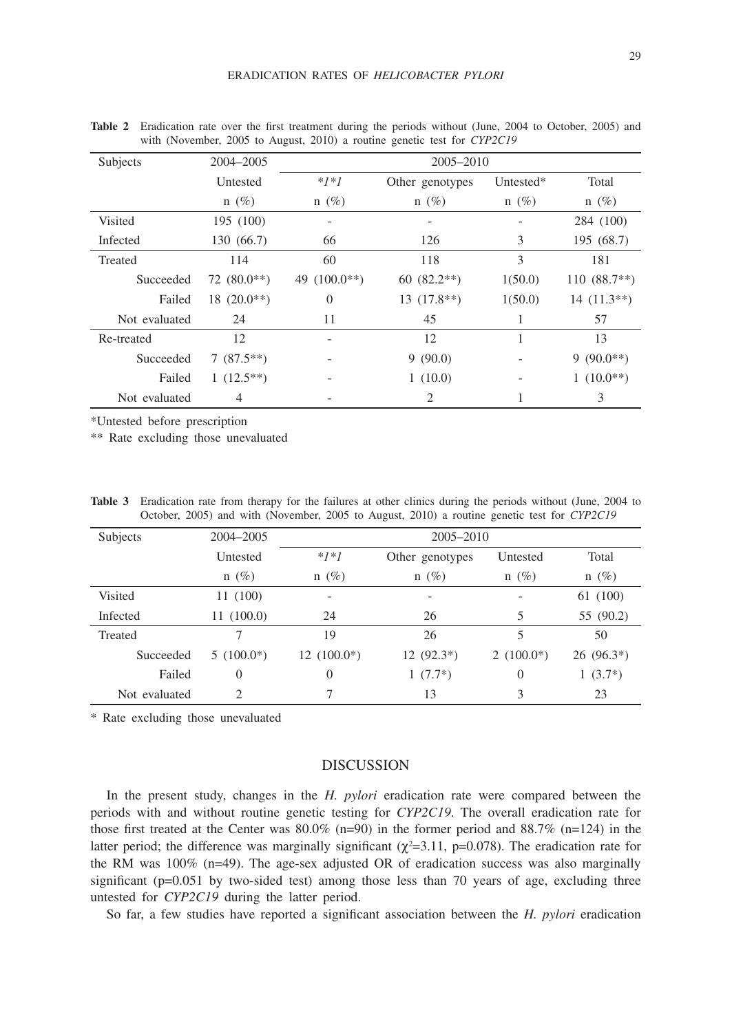| Subjects      | 2004-2005       | 2005-2010         |                 |           |                |  |
|---------------|-----------------|-------------------|-----------------|-----------|----------------|--|
|               | Untested        | $*1*1$            | Other genotypes | Untested* | Total          |  |
|               | $n(\%)$         | $n(\%)$           | $n(\%)$         | $n(\%)$   | $n(\%)$        |  |
| Visited       | 195 (100)       |                   |                 |           | 284 (100)      |  |
| Infected      | 130 (66.7)      | 66                | 126             | 3         | 195 (68.7)     |  |
| Treated       | 114             | 60                | 118             | 3         | 181            |  |
| Succeeded     | $72(80.0**)$    | $(100.0**)$<br>49 | $60(82.2**)$    | 1(50.0)   | $110(88.7**)$  |  |
| Failed        | $18(20.0^{**})$ | $\theta$          | $13(17.8**)$    | 1(50.0)   | $14(11.3**)$   |  |
| Not evaluated | 24              | 11                | 45              | 1         | 57             |  |
| Re-treated    | 12              |                   | 12              |           | 13             |  |
| Succeeded     | $7(87.5**)$     |                   | 9(90.0)         |           | $9(90.0**)$    |  |
| Failed        | $1(12.5**)$     |                   | 1(10.0)         |           | $1(10.0^{**})$ |  |
| Not evaluated | 4               |                   | 2               |           | 3              |  |

**Table 2** Eradication rate over the first treatment during the periods without (June, 2004 to October, 2005) and with (November, 2005 to August, 2010) a routine genetic test for *CYP2C19*

\*Untested before prescription

\*\* Rate excluding those unevaluated

| <b>Table 3</b> Eradication rate from therapy for the failures at other clinics during the periods without (June, 2004 to |  |
|--------------------------------------------------------------------------------------------------------------------------|--|
| October, 2005) and with (November, 2005 to August, 2010) a routine genetic test for CYP2C19                              |  |

| Subjects      | 2004-2005      | 2005-2010                |                          |                          |             |  |  |
|---------------|----------------|--------------------------|--------------------------|--------------------------|-------------|--|--|
|               | Untested       | $*1*1$                   | Other genotypes          | Untested                 | Total       |  |  |
|               | $n(\%)$        | $n(\%)$                  | $n(\%)$                  | $n(\%)$                  | $n(\%)$     |  |  |
| Visited       | 11 (100)       | $\overline{\phantom{a}}$ | $\overline{\phantom{a}}$ | $\overline{\phantom{a}}$ | 61 (100)    |  |  |
| Infected      | 11(100.0)      | 24                       | 26                       | 5                        | 55 (90.2)   |  |  |
| Treated       | 7              | 19                       | 26                       | 5                        | 50          |  |  |
| Succeeded     | $5(100.0^*)$   | $12(100.0*)$             | $12(92.3*)$              | 2 $(100.0*)$             | $26(96.3*)$ |  |  |
| Failed        | $\theta$       | $\theta$                 | $1(7.7^*)$               | $\theta$                 | $1(3.7^*)$  |  |  |
| Not evaluated | $\overline{c}$ | 7                        | 13                       | 3                        | 23          |  |  |

\* Rate excluding those unevaluated

## DISCUSSION

In the present study, changes in the *H. pylori* eradication rate were compared between the periods with and without routine genetic testing for *CYP2C19*. The overall eradication rate for those first treated at the Center was  $80.0\%$  (n=90) in the former period and  $88.7\%$  (n=124) in the latter period; the difference was marginally significant  $(\chi^2=3.11, p=0.078)$ . The eradication rate for the RM was  $100\%$  (n=49). The age-sex adjusted OR of eradication success was also marginally significant ( $p=0.051$  by two-sided test) among those less than 70 years of age, excluding three untested for *CYP2C19* during the latter period.

So far, a few studies have reported a significant association between the *H. pylori* eradication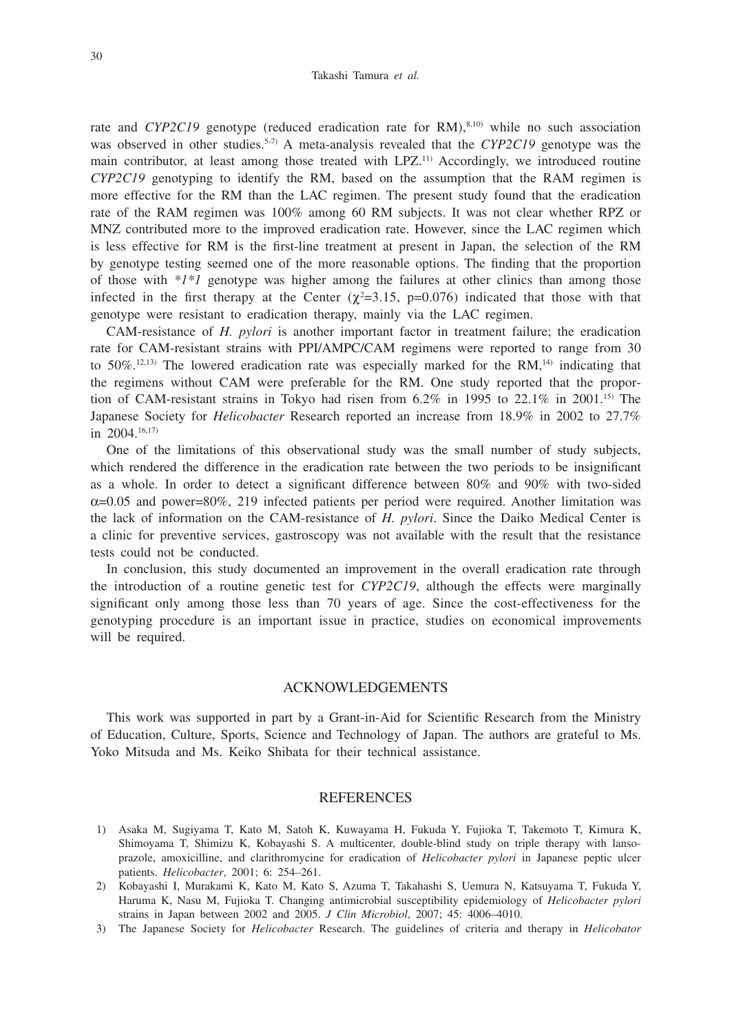rate and *CYP2C19* genotype (reduced eradication rate for RM),<sup>8,10)</sup> while no such association was observed in other studies.<sup>5-7)</sup> A meta-analysis revealed that the *CYP2C19* genotype was the main contributor, at least among those treated with LPZ.11) Accordingly, we introduced routine *CYP2C19* genotyping to identify the RM, based on the assumption that the RAM regimen is more effective for the RM than the LAC regimen. The present study found that the eradication rate of the RAM regimen was 100% among 60 RM subjects. It was not clear whether RPZ or MNZ contributed more to the improved eradication rate. However, since the LAC regimen which is less effective for RM is the first-line treatment at present in Japan, the selection of the RM by genotype testing seemed one of the more reasonable options. The finding that the proportion of those with *\*1\*1* genotype was higher among the failures at other clinics than among those infected in the first therapy at the Center  $(\chi^2=3.15, p=0.076)$  indicated that those with that genotype were resistant to eradication therapy, mainly via the LAC regimen.

CAM-resistance of *H. pylori* is another important factor in treatment failure; the eradication rate for CAM-resistant strains with PPI/AMPC/CAM regimens were reported to range from 30 to  $50\%$ , <sup>12, 13)</sup> The lowered eradication rate was especially marked for the RM,<sup>14)</sup> indicating that the regimens without CAM were preferable for the RM. One study reported that the proportion of CAM-resistant strains in Tokyo had risen from 6.2% in 1995 to 22.1% in 2001.15) The Japanese Society for *Helicobacter* Research reported an increase from 18.9% in 2002 to 27.7% in 2004.16,17)

One of the limitations of this observational study was the small number of study subjects, which rendered the difference in the eradication rate between the two periods to be insignificant as a whole. In order to detect a significant difference between 80% and 90% with two-sided  $\alpha$ =0.05 and power=80%, 219 infected patients per period were required. Another limitation was the lack of information on the CAM-resistance of *H. pylori*. Since the Daiko Medical Center is a clinic for preventive services, gastroscopy was not available with the result that the resistance tests could not be conducted.

In conclusion, this study documented an improvement in the overall eradication rate through the introduction of a routine genetic test for *CYP2C19*, although the effects were marginally significant only among those less than 70 years of age. Since the cost-effectiveness for the genotyping procedure is an important issue in practice, studies on economical improvements will be required.

#### ACKNOWLEDGEMENTS

This work was supported in part by a Grant-in-Aid for Scientific Research from the Ministry of Education, Culture, Sports, Science and Technology of Japan. The authors are grateful to Ms. Yoko Mitsuda and Ms. Keiko Shibata for their technical assistance.

#### REFERENCES

- 1) Asaka M, Sugiyama T, Kato M, Satoh K, Kuwayama H, Fukuda Y, Fujioka T, Takemoto T, Kimura K, Shimoyama T, Shimizu K, Kobayashi S. A multicenter, double-blind study on triple therapy with lansoprazole, amoxicilline, and clarithromycine for eradication of *Helicobacter pylori* in Japanese peptic ulcer patients. *Helicobacter*, 2001; 6: 254–261.
- 2) Kobayashi I, Murakami K, Kato M, Kato S, Azuma T, Takahashi S, Uemura N, Katsuyama T, Fukuda Y, Haruma K, Nasu M, Fujioka T. Changing antimicrobial susceptibility epidemiology of *Helicobacter pylori* strains in Japan between 2002 and 2005. *J Clin Microbiol*, 2007; 45: 4006–4010.
- 3) The Japanese Society for *Helicobacter* Research. The guidelines of criteria and therapy in *Helicobator*